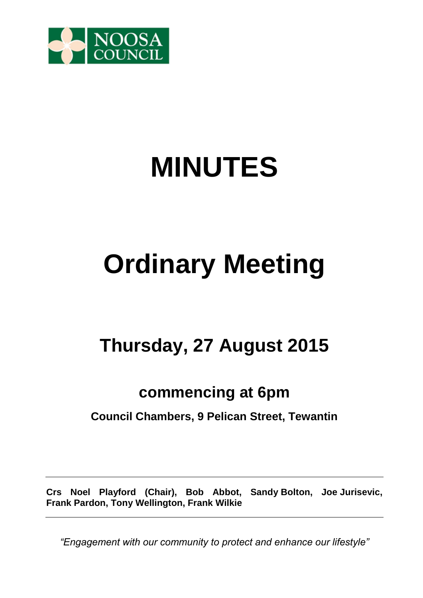

# **MINUTES**

## **Ordinary Meeting**

## **Thursday, 27 August 2015**

### **commencing at 6pm**

### **Council Chambers, 9 Pelican Street, Tewantin**

**Crs Noel Playford (Chair), Bob Abbot, Sandy Bolton, Joe Jurisevic, Frank Pardon, Tony Wellington, Frank Wilkie** 

*"Engagement with our community to protect and enhance our lifestyle"*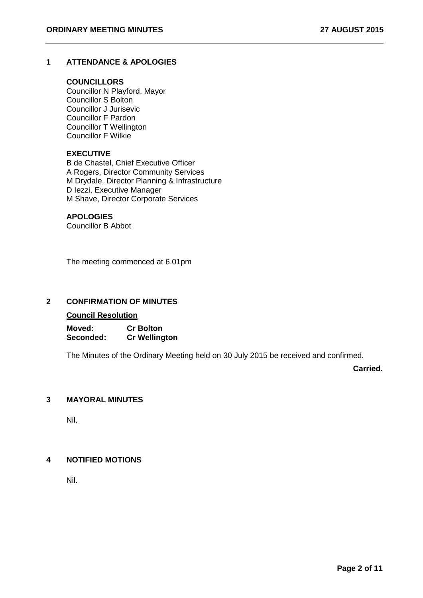#### **1 ATTENDANCE & APOLOGIES**

#### **COUNCILLORS**

Councillor N Playford, Mayor Councillor S Bolton Councillor J Jurisevic Councillor F Pardon Councillor T Wellington Councillor F Wilkie

#### **EXECUTIVE**

B de Chastel, Chief Executive Officer A Rogers, Director Community Services M Drydale, Director Planning & Infrastructure D Iezzi, Executive Manager M Shave, Director Corporate Services

#### **APOLOGIES**

Councillor B Abbot

The meeting commenced at 6.01pm

#### **2 CONFIRMATION OF MINUTES**

#### **Council Resolution**

**Moved: Cr Bolton Seconded: Cr Wellington** 

The Minutes of the Ordinary Meeting held on 30 July 2015 be received and confirmed.

**Carried.**

#### **3 MAYORAL MINUTES**

Nil.

#### **4 NOTIFIED MOTIONS**

Nil.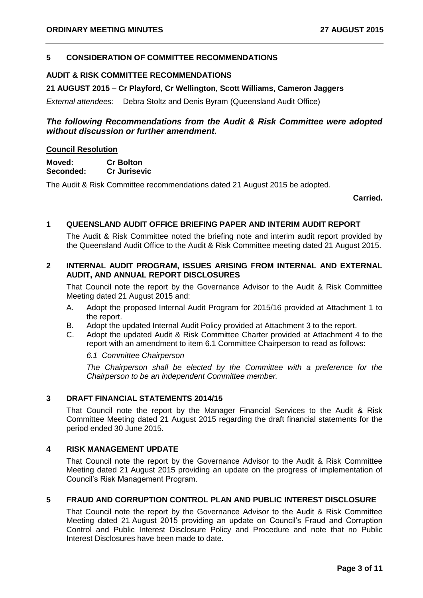#### **5 CONSIDERATION OF COMMITTEE RECOMMENDATIONS**

#### **AUDIT & RISK COMMITTEE RECOMMENDATIONS**

#### **21 AUGUST 2015 – Cr Playford, Cr Wellington, Scott Williams, Cameron Jaggers**

*External attendees:* Debra Stoltz and Denis Byram (Queensland Audit Office)

#### *The following Recommendations from the Audit & Risk Committee were adopted without discussion or further amendment.*

#### **Council Resolution**

**Moved: Cr Bolton Seconded: Cr Jurisevic**

The Audit & Risk Committee recommendations dated 21 August 2015 be adopted.

**Carried.**

#### **1 QUEENSLAND AUDIT OFFICE BRIEFING PAPER AND INTERIM AUDIT REPORT**

The Audit & Risk Committee noted the briefing note and interim audit report provided by the Queensland Audit Office to the Audit & Risk Committee meeting dated 21 August 2015.

#### **2 INTERNAL AUDIT PROGRAM, ISSUES ARISING FROM INTERNAL AND EXTERNAL AUDIT, AND ANNUAL REPORT DISCLOSURES**

That Council note the report by the Governance Advisor to the Audit & Risk Committee Meeting dated 21 August 2015 and:

- A. Adopt the proposed Internal Audit Program for 2015/16 provided at Attachment 1 to the report.
- B. Adopt the updated Internal Audit Policy provided at Attachment 3 to the report.
- C. Adopt the updated Audit & Risk Committee Charter provided at Attachment 4 to the report with an amendment to item 6.1 Committee Chairperson to read as follows:

*6.1 Committee Chairperson*

*The Chairperson shall be elected by the Committee with a preference for the Chairperson to be an independent Committee member.*

#### **3 DRAFT FINANCIAL STATEMENTS 2014/15**

That Council note the report by the Manager Financial Services to the Audit & Risk Committee Meeting dated 21 August 2015 regarding the draft financial statements for the period ended 30 June 2015.

#### **4 RISK MANAGEMENT UPDATE**

That Council note the report by the Governance Advisor to the Audit & Risk Committee Meeting dated 21 August 2015 providing an update on the progress of implementation of Council's Risk Management Program.

#### **5 FRAUD AND CORRUPTION CONTROL PLAN AND PUBLIC INTEREST DISCLOSURE**

That Council note the report by the Governance Advisor to the Audit & Risk Committee Meeting dated 21 August 2015 providing an update on Council's Fraud and Corruption Control and Public Interest Disclosure Policy and Procedure and note that no Public Interest Disclosures have been made to date.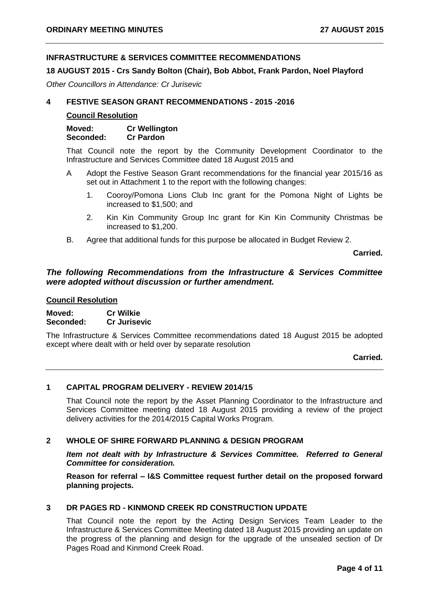#### **INFRASTRUCTURE & SERVICES COMMITTEE RECOMMENDATIONS**

#### **18 AUGUST 2015 - Crs Sandy Bolton (Chair), Bob Abbot, Frank Pardon, Noel Playford**

*Other Councillors in Attendance: Cr Jurisevic*

#### **4 FESTIVE SEASON GRANT RECOMMENDATIONS - 2015 -2016**

#### **Council Resolution**

**Moved: Cr Wellington Seconded: Cr Pardon**

That Council note the report by the Community Development Coordinator to the Infrastructure and Services Committee dated 18 August 2015 and

- A Adopt the Festive Season Grant recommendations for the financial year 2015/16 as set out in Attachment 1 to the report with the following changes:
	- 1. Cooroy/Pomona Lions Club Inc grant for the Pomona Night of Lights be increased to \$1,500; and
	- 2. Kin Kin Community Group Inc grant for Kin Kin Community Christmas be increased to \$1,200.
- B. Agree that additional funds for this purpose be allocated in Budget Review 2.

**Carried.**

#### *The following Recommendations from the Infrastructure & Services Committee were adopted without discussion or further amendment.*

#### **Council Resolution**

**Moved: Cr Wilkie Seconded: Cr Jurisevic** 

The Infrastructure & Services Committee recommendations dated 18 August 2015 be adopted except where dealt with or held over by separate resolution

**Carried.**

#### **1 CAPITAL PROGRAM DELIVERY - REVIEW 2014/15**

That Council note the report by the Asset Planning Coordinator to the Infrastructure and Services Committee meeting dated 18 August 2015 providing a review of the project delivery activities for the 2014/2015 Capital Works Program.

#### **2 WHOLE OF SHIRE FORWARD PLANNING & DESIGN PROGRAM**

*Item not dealt with by Infrastructure & Services Committee. Referred to General Committee for consideration.*

**Reason for referral – I&S Committee request further detail on the proposed forward planning projects.**

#### **3 DR PAGES RD - KINMOND CREEK RD CONSTRUCTION UPDATE**

That Council note the report by the Acting Design Services Team Leader to the Infrastructure & Services Committee Meeting dated 18 August 2015 providing an update on the progress of the planning and design for the upgrade of the unsealed section of Dr Pages Road and Kinmond Creek Road.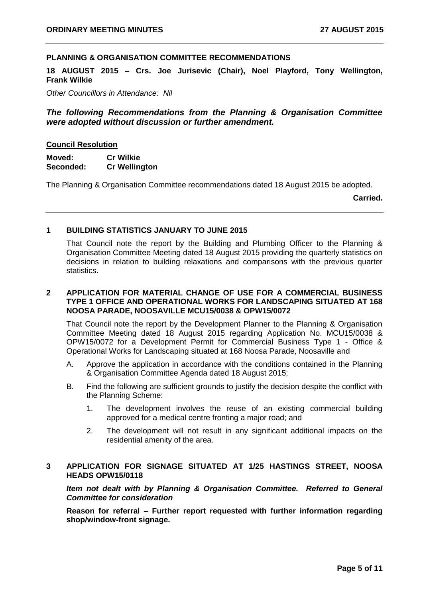#### **PLANNING & ORGANISATION COMMITTEE RECOMMENDATIONS**

**18 AUGUST 2015 – Crs. Joe Jurisevic (Chair), Noel Playford, Tony Wellington, Frank Wilkie**

*Other Councillors in Attendance: Nil*

#### *The following Recommendations from the Planning & Organisation Committee were adopted without discussion or further amendment.*

#### **Council Resolution**

**Moved: Cr Wilkie Seconded: Cr Wellington** 

The Planning & Organisation Committee recommendations dated 18 August 2015 be adopted.

**Carried.**

#### **1 BUILDING STATISTICS JANUARY TO JUNE 2015**

That Council note the report by the Building and Plumbing Officer to the Planning & Organisation Committee Meeting dated 18 August 2015 providing the quarterly statistics on decisions in relation to building relaxations and comparisons with the previous quarter statistics.

#### **2 APPLICATION FOR MATERIAL CHANGE OF USE FOR A COMMERCIAL BUSINESS TYPE 1 OFFICE AND OPERATIONAL WORKS FOR LANDSCAPING SITUATED AT 168 NOOSA PARADE, NOOSAVILLE MCU15/0038 & OPW15/0072**

That Council note the report by the Development Planner to the Planning & Organisation Committee Meeting dated 18 August 2015 regarding Application No. MCU15/0038 & OPW15/0072 for a Development Permit for Commercial Business Type 1 - Office & Operational Works for Landscaping situated at 168 Noosa Parade, Noosaville and

- A. Approve the application in accordance with the conditions contained in the Planning & Organisation Committee Agenda dated 18 August 2015;
- B. Find the following are sufficient grounds to justify the decision despite the conflict with the Planning Scheme:
	- 1. The development involves the reuse of an existing commercial building approved for a medical centre fronting a major road; and
	- 2. The development will not result in any significant additional impacts on the residential amenity of the area.

#### **3 APPLICATION FOR SIGNAGE SITUATED AT 1/25 HASTINGS STREET, NOOSA HEADS OPW15/0118**

*Item not dealt with by Planning & Organisation Committee. Referred to General Committee for consideration*

**Reason for referral – Further report requested with further information regarding shop/window-front signage.**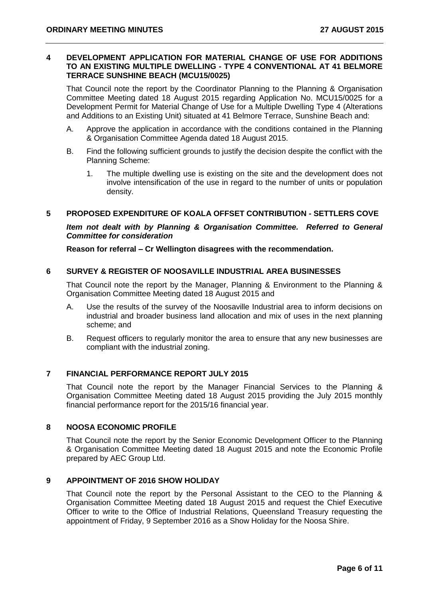#### **4 DEVELOPMENT APPLICATION FOR MATERIAL CHANGE OF USE FOR ADDITIONS TO AN EXISTING MULTIPLE DWELLING - TYPE 4 CONVENTIONAL AT 41 BELMORE TERRACE SUNSHINE BEACH (MCU15/0025)**

That Council note the report by the Coordinator Planning to the Planning & Organisation Committee Meeting dated 18 August 2015 regarding Application No. MCU15/0025 for a Development Permit for Material Change of Use for a Multiple Dwelling Type 4 (Alterations and Additions to an Existing Unit) situated at 41 Belmore Terrace, Sunshine Beach and:

- A. Approve the application in accordance with the conditions contained in the Planning & Organisation Committee Agenda dated 18 August 2015.
- B. Find the following sufficient grounds to justify the decision despite the conflict with the Planning Scheme:
	- 1. The multiple dwelling use is existing on the site and the development does not involve intensification of the use in regard to the number of units or population density.

#### **5 PROPOSED EXPENDITURE OF KOALA OFFSET CONTRIBUTION - SETTLERS COVE**

*Item not dealt with by Planning & Organisation Committee. Referred to General Committee for consideration*

**Reason for referral – Cr Wellington disagrees with the recommendation.**

#### **6 SURVEY & REGISTER OF NOOSAVILLE INDUSTRIAL AREA BUSINESSES**

That Council note the report by the Manager, Planning & Environment to the Planning & Organisation Committee Meeting dated 18 August 2015 and

- A. Use the results of the survey of the Noosaville Industrial area to inform decisions on industrial and broader business land allocation and mix of uses in the next planning scheme; and
- B. Request officers to regularly monitor the area to ensure that any new businesses are compliant with the industrial zoning.

#### **7 FINANCIAL PERFORMANCE REPORT JULY 2015**

That Council note the report by the Manager Financial Services to the Planning & Organisation Committee Meeting dated 18 August 2015 providing the July 2015 monthly financial performance report for the 2015/16 financial year.

#### **8 NOOSA ECONOMIC PROFILE**

That Council note the report by the Senior Economic Development Officer to the Planning & Organisation Committee Meeting dated 18 August 2015 and note the Economic Profile prepared by AEC Group Ltd.

#### **9 APPOINTMENT OF 2016 SHOW HOLIDAY**

That Council note the report by the Personal Assistant to the CEO to the Planning & Organisation Committee Meeting dated 18 August 2015 and request the Chief Executive Officer to write to the Office of Industrial Relations, Queensland Treasury requesting the appointment of Friday, 9 September 2016 as a Show Holiday for the Noosa Shire.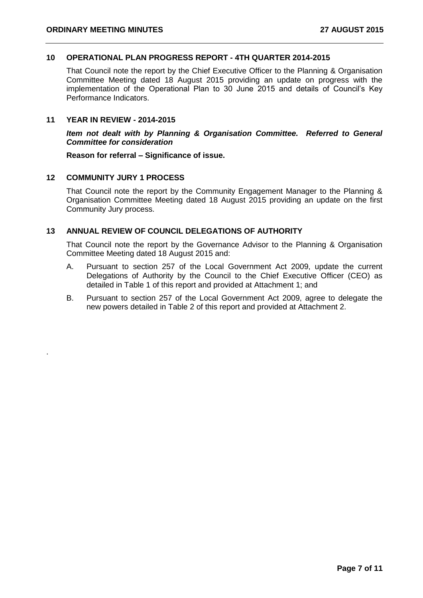#### **10 OPERATIONAL PLAN PROGRESS REPORT - 4TH QUARTER 2014-2015**

That Council note the report by the Chief Executive Officer to the Planning & Organisation Committee Meeting dated 18 August 2015 providing an update on progress with the implementation of the Operational Plan to 30 June 2015 and details of Council's Key Performance Indicators.

#### **11 YEAR IN REVIEW - 2014-2015**

*Item not dealt with by Planning & Organisation Committee. Referred to General Committee for consideration*

**Reason for referral – Significance of issue.**

#### **12 COMMUNITY JURY 1 PROCESS**

.

That Council note the report by the Community Engagement Manager to the Planning & Organisation Committee Meeting dated 18 August 2015 providing an update on the first Community Jury process.

#### **13 ANNUAL REVIEW OF COUNCIL DELEGATIONS OF AUTHORITY**

That Council note the report by the Governance Advisor to the Planning & Organisation Committee Meeting dated 18 August 2015 and:

- A. Pursuant to section 257 of the Local Government Act 2009, update the current Delegations of Authority by the Council to the Chief Executive Officer (CEO) as detailed in Table 1 of this report and provided at Attachment 1; and
- B. Pursuant to section 257 of the Local Government Act 2009, agree to delegate the new powers detailed in Table 2 of this report and provided at Attachment 2.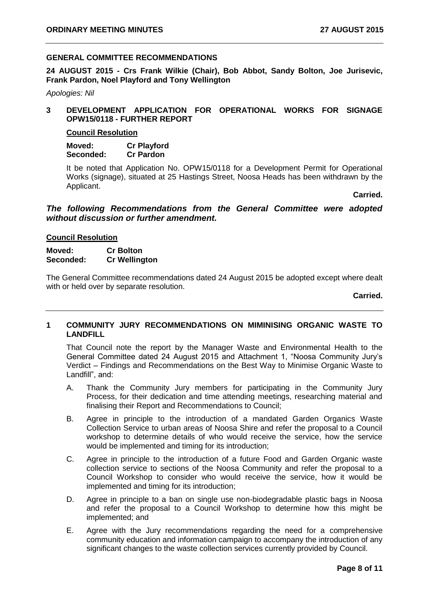#### **GENERAL COMMITTEE RECOMMENDATIONS**

**24 AUGUST 2015 - Crs Frank Wilkie (Chair), Bob Abbot, Sandy Bolton, Joe Jurisevic, Frank Pardon, Noel Playford and Tony Wellington**

*Apologies: Nil*

#### **3 DEVELOPMENT APPLICATION FOR OPERATIONAL WORKS FOR SIGNAGE OPW15/0118 - FURTHER REPORT**

#### **Council Resolution**

**Moved: Cr Playford Seconded: Cr Pardon** 

It be noted that Application No. OPW15/0118 for a Development Permit for Operational Works (signage), situated at 25 Hastings Street, Noosa Heads has been withdrawn by the Applicant.

**Carried.**

*The following Recommendations from the General Committee were adopted without discussion or further amendment.*

#### **Council Resolution**

#### **Moved: Cr Bolton Seconded: Cr Wellington**

The General Committee recommendations dated 24 August 2015 be adopted except where dealt with or held over by separate resolution.

**Carried.**

#### **1 COMMUNITY JURY RECOMMENDATIONS ON MIMINISING ORGANIC WASTE TO LANDFILL**

That Council note the report by the Manager Waste and Environmental Health to the General Committee dated 24 August 2015 and Attachment 1, "Noosa Community Jury's Verdict – Findings and Recommendations on the Best Way to Minimise Organic Waste to Landfill", and:

- A. Thank the Community Jury members for participating in the Community Jury Process, for their dedication and time attending meetings, researching material and finalising their Report and Recommendations to Council;
- B. Agree in principle to the introduction of a mandated Garden Organics Waste Collection Service to urban areas of Noosa Shire and refer the proposal to a Council workshop to determine details of who would receive the service, how the service would be implemented and timing for its introduction;
- C. Agree in principle to the introduction of a future Food and Garden Organic waste collection service to sections of the Noosa Community and refer the proposal to a Council Workshop to consider who would receive the service, how it would be implemented and timing for its introduction;
- D. Agree in principle to a ban on single use non-biodegradable plastic bags in Noosa and refer the proposal to a Council Workshop to determine how this might be implemented; and
- E. Agree with the Jury recommendations regarding the need for a comprehensive community education and information campaign to accompany the introduction of any significant changes to the waste collection services currently provided by Council.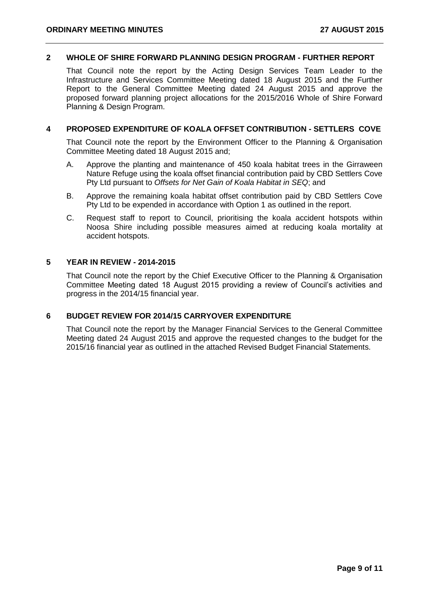#### **2 WHOLE OF SHIRE FORWARD PLANNING DESIGN PROGRAM - FURTHER REPORT**

That Council note the report by the Acting Design Services Team Leader to the Infrastructure and Services Committee Meeting dated 18 August 2015 and the Further Report to the General Committee Meeting dated 24 August 2015 and approve the proposed forward planning project allocations for the 2015/2016 Whole of Shire Forward Planning & Design Program.

#### **4 PROPOSED EXPENDITURE OF KOALA OFFSET CONTRIBUTION - SETTLERS COVE**

That Council note the report by the Environment Officer to the Planning & Organisation Committee Meeting dated 18 August 2015 and;

- A. Approve the planting and maintenance of 450 koala habitat trees in the Girraween Nature Refuge using the koala offset financial contribution paid by CBD Settlers Cove Pty Ltd pursuant to *Offsets for Net Gain of Koala Habitat in SEQ*; and
- B. Approve the remaining koala habitat offset contribution paid by CBD Settlers Cove Pty Ltd to be expended in accordance with Option 1 as outlined in the report.
- C. Request staff to report to Council, prioritising the koala accident hotspots within Noosa Shire including possible measures aimed at reducing koala mortality at accident hotspots.

#### **5 YEAR IN REVIEW - 2014-2015**

That Council note the report by the Chief Executive Officer to the Planning & Organisation Committee Meeting dated 18 August 2015 providing a review of Council's activities and progress in the 2014/15 financial year.

#### **6 BUDGET REVIEW FOR 2014/15 CARRYOVER EXPENDITURE**

That Council note the report by the Manager Financial Services to the General Committee Meeting dated 24 August 2015 and approve the requested changes to the budget for the 2015/16 financial year as outlined in the attached Revised Budget Financial Statements.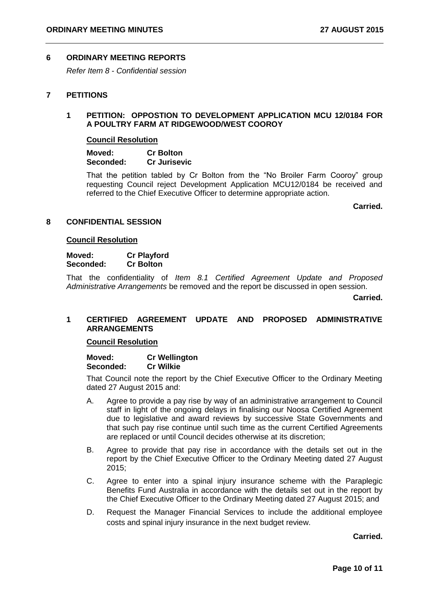#### **6 ORDINARY MEETING REPORTS**

*Refer Item 8 - Confidential session*

#### **7 PETITIONS**

#### **1 PETITION: OPPOSTION TO DEVELOPMENT APPLICATION MCU 12/0184 FOR A POULTRY FARM AT RIDGEWOOD/WEST COOROY**

#### **Council Resolution**

**Moved: Cr Bolton Seconded: Cr Jurisevic** 

That the petition tabled by Cr Bolton from the "No Broiler Farm Cooroy" group requesting Council reject Development Application MCU12/0184 be received and referred to the Chief Executive Officer to determine appropriate action.

**Carried.**

#### **8 CONFIDENTIAL SESSION**

#### **Council Resolution**

**Moved: Cr Playford Seconded: Cr Bolton** 

That the confidentiality of *Item 8.1 Certified Agreement Update and Proposed Administrative Arrangements* be removed and the report be discussed in open session.

**Carried.**

#### **1 CERTIFIED AGREEMENT UPDATE AND PROPOSED ADMINISTRATIVE ARRANGEMENTS**

#### **Council Resolution**

**Moved: Cr Wellington Seconded: Cr Wilkie** 

That Council note the report by the Chief Executive Officer to the Ordinary Meeting dated 27 August 2015 and:

- A. Agree to provide a pay rise by way of an administrative arrangement to Council staff in light of the ongoing delays in finalising our Noosa Certified Agreement due to legislative and award reviews by successive State Governments and that such pay rise continue until such time as the current Certified Agreements are replaced or until Council decides otherwise at its discretion;
- B. Agree to provide that pay rise in accordance with the details set out in the report by the Chief Executive Officer to the Ordinary Meeting dated 27 August 2015;
- C. Agree to enter into a spinal injury insurance scheme with the Paraplegic Benefits Fund Australia in accordance with the details set out in the report by the Chief Executive Officer to the Ordinary Meeting dated 27 August 2015; and
- D. Request the Manager Financial Services to include the additional employee costs and spinal injury insurance in the next budget review.

**Carried.**